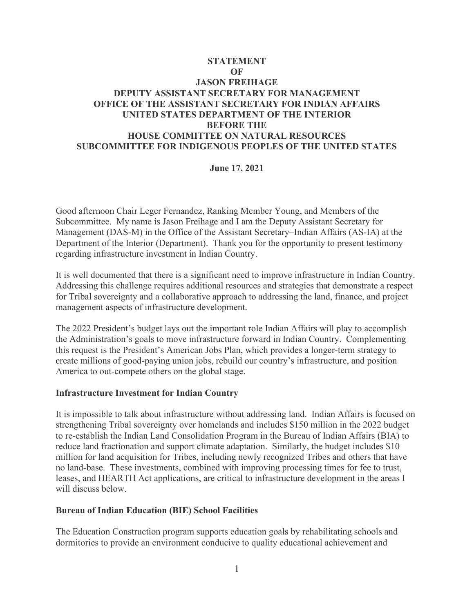# **STATEMENT OF JASON FREIHAGE DEPUTY ASSISTANT SECRETARY FOR MANAGEMENT OFFICE OF THE ASSISTANT SECRETARY FOR INDIAN AFFAIRS UNITED STATES DEPARTMENT OF THE INTERIOR BEFORE THE HOUSE COMMITTEE ON NATURAL RESOURCES SUBCOMMITTEE FOR INDIGENOUS PEOPLES OF THE UNITED STATES**

### **June 17, 2021**

Good afternoon Chair Leger Fernandez, Ranking Member Young, and Members of the Subcommittee. My name is Jason Freihage and I am the Deputy Assistant Secretary for Management (DAS-M) in the Office of the Assistant Secretary–Indian Affairs (AS-IA) at the Department of the Interior (Department). Thank you for the opportunity to present testimony regarding infrastructure investment in Indian Country.

It is well documented that there is a significant need to improve infrastructure in Indian Country. Addressing this challenge requires additional resources and strategies that demonstrate a respect for Tribal sovereignty and a collaborative approach to addressing the land, finance, and project management aspects of infrastructure development.

The 2022 President's budget lays out the important role Indian Affairs will play to accomplish the Administration's goals to move infrastructure forward in Indian Country. Complementing this request is the President's American Jobs Plan, which provides a longer-term strategy to create millions of good-paying union jobs, rebuild our country's infrastructure, and position America to out-compete others on the global stage.

#### **Infrastructure Investment for Indian Country**

It is impossible to talk about infrastructure without addressing land. Indian Affairs is focused on strengthening Tribal sovereignty over homelands and includes \$150 million in the 2022 budget to re-establish the Indian Land Consolidation Program in the Bureau of Indian Affairs (BIA) to reduce land fractionation and support climate adaptation. Similarly, the budget includes \$10 million for land acquisition for Tribes, including newly recognized Tribes and others that have no land-base. These investments, combined with improving processing times for fee to trust, leases, and HEARTH Act applications, are critical to infrastructure development in the areas I will discuss below.

#### **Bureau of Indian Education (BIE) School Facilities**

The Education Construction program supports education goals by rehabilitating schools and dormitories to provide an environment conducive to quality educational achievement and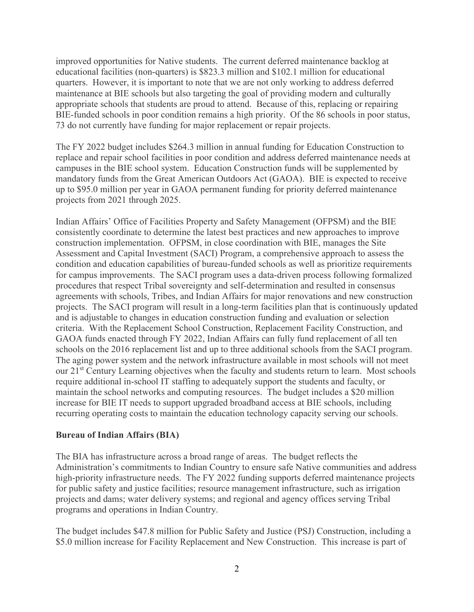improved opportunities for Native students. The current deferred maintenance backlog at educational facilities (non-quarters) is \$823.3 million and \$102.1 million for educational quarters. However, it is important to note that we are not only working to address deferred maintenance at BIE schools but also targeting the goal of providing modern and culturally appropriate schools that students are proud to attend. Because of this, replacing or repairing BIE-funded schools in poor condition remains a high priority. Of the 86 schools in poor status, 73 do not currently have funding for major replacement or repair projects.

The FY 2022 budget includes \$264.3 million in annual funding for Education Construction to replace and repair school facilities in poor condition and address deferred maintenance needs at campuses in the BIE school system. Education Construction funds will be supplemented by mandatory funds from the Great American Outdoors Act (GAOA). BIE is expected to receive up to \$95.0 million per year in GAOA permanent funding for priority deferred maintenance projects from 2021 through 2025.

Indian Affairs' Office of Facilities Property and Safety Management (OFPSM) and the BIE consistently coordinate to determine the latest best practices and new approaches to improve construction implementation. OFPSM, in close coordination with BIE, manages the Site Assessment and Capital Investment (SACI) Program, a comprehensive approach to assess the condition and education capabilities of bureau-funded schools as well as prioritize requirements for campus improvements. The SACI program uses a data-driven process following formalized procedures that respect Tribal sovereignty and self-determination and resulted in consensus agreements with schools, Tribes, and Indian Affairs for major renovations and new construction projects. The SACI program will result in a long-term facilities plan that is continuously updated and is adjustable to changes in education construction funding and evaluation or selection criteria. With the Replacement School Construction, Replacement Facility Construction, and GAOA funds enacted through FY 2022, Indian Affairs can fully fund replacement of all ten schools on the 2016 replacement list and up to three additional schools from the SACI program. The aging power system and the network infrastructure available in most schools will not meet our 21<sup>st</sup> Century Learning objectives when the faculty and students return to learn. Most schools require additional in-school IT staffing to adequately support the students and faculty, or maintain the school networks and computing resources. The budget includes a \$20 million increase for BIE IT needs to support upgraded broadband access at BIE schools, including recurring operating costs to maintain the education technology capacity serving our schools.

#### **Bureau of Indian Affairs (BIA)**

The BIA has infrastructure across a broad range of areas. The budget reflects the Administration's commitments to Indian Country to ensure safe Native communities and address high-priority infrastructure needs. The FY 2022 funding supports deferred maintenance projects for public safety and justice facilities; resource management infrastructure, such as irrigation projects and dams; water delivery systems; and regional and agency offices serving Tribal programs and operations in Indian Country.

The budget includes \$47.8 million for Public Safety and Justice (PSJ) Construction, including a \$5.0 million increase for Facility Replacement and New Construction. This increase is part of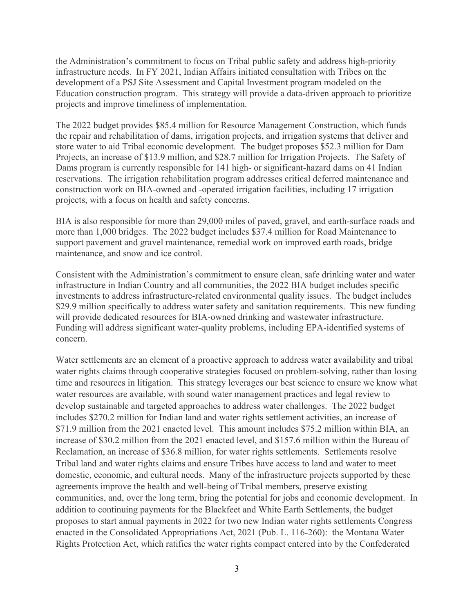the Administration's commitment to focus on Tribal public safety and address high-priority infrastructure needs. In FY 2021, Indian Affairs initiated consultation with Tribes on the development of a PSJ Site Assessment and Capital Investment program modeled on the Education construction program. This strategy will provide a data-driven approach to prioritize projects and improve timeliness of implementation.

The 2022 budget provides \$85.4 million for Resource Management Construction, which funds the repair and rehabilitation of dams, irrigation projects, and irrigation systems that deliver and store water to aid Tribal economic development. The budget proposes \$52.3 million for Dam Projects, an increase of \$13.9 million, and \$28.7 million for Irrigation Projects. The Safety of Dams program is currently responsible for 141 high- or significant-hazard dams on 41 Indian reservations. The irrigation rehabilitation program addresses critical deferred maintenance and construction work on BIA-owned and -operated irrigation facilities, including 17 irrigation projects, with a focus on health and safety concerns.

BIA is also responsible for more than 29,000 miles of paved, gravel, and earth-surface roads and more than 1,000 bridges. The 2022 budget includes \$37.4 million for Road Maintenance to support pavement and gravel maintenance, remedial work on improved earth roads, bridge maintenance, and snow and ice control.

Consistent with the Administration's commitment to ensure clean, safe drinking water and water infrastructure in Indian Country and all communities, the 2022 BIA budget includes specific investments to address infrastructure-related environmental quality issues. The budget includes \$29.9 million specifically to address water safety and sanitation requirements. This new funding will provide dedicated resources for BIA-owned drinking and wastewater infrastructure. Funding will address significant water-quality problems, including EPA-identified systems of concern.

Water settlements are an element of a proactive approach to address water availability and tribal water rights claims through cooperative strategies focused on problem-solving, rather than losing time and resources in litigation. This strategy leverages our best science to ensure we know what water resources are available, with sound water management practices and legal review to develop sustainable and targeted approaches to address water challenges. The 2022 budget includes \$270.2 million for Indian land and water rights settlement activities, an increase of \$71.9 million from the 2021 enacted level. This amount includes \$75.2 million within BIA, an increase of \$30.2 million from the 2021 enacted level, and \$157.6 million within the Bureau of Reclamation, an increase of \$36.8 million, for water rights settlements. Settlements resolve Tribal land and water rights claims and ensure Tribes have access to land and water to meet domestic, economic, and cultural needs. Many of the infrastructure projects supported by these agreements improve the health and well-being of Tribal members, preserve existing communities, and, over the long term, bring the potential for jobs and economic development. In addition to continuing payments for the Blackfeet and White Earth Settlements, the budget proposes to start annual payments in 2022 for two new Indian water rights settlements Congress enacted in the Consolidated Appropriations Act, 2021 (Pub. L. 116-260): the Montana Water Rights Protection Act, which ratifies the water rights compact entered into by the Confederated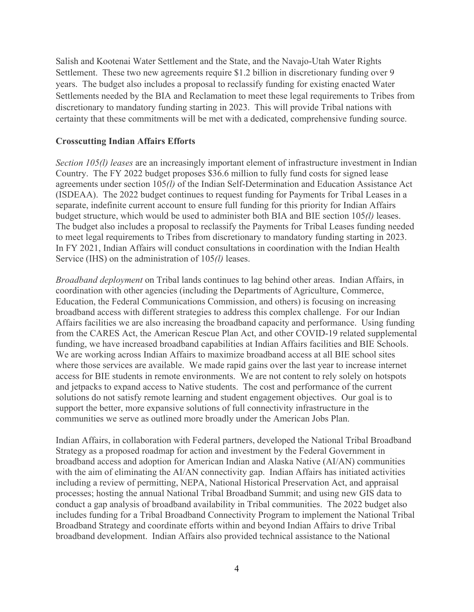Salish and Kootenai Water Settlement and the State, and the Navajo-Utah Water Rights Settlement. These two new agreements require \$1.2 billion in discretionary funding over 9 years. The budget also includes a proposal to reclassify funding for existing enacted Water Settlements needed by the BIA and Reclamation to meet these legal requirements to Tribes from discretionary to mandatory funding starting in 2023. This will provide Tribal nations with certainty that these commitments will be met with a dedicated, comprehensive funding source.

### **Crosscutting Indian Affairs Efforts**

*Section 105(l) leases* are an increasingly important element of infrastructure investment in Indian Country. The FY 2022 budget proposes \$36.6 million to fully fund costs for signed lease agreements under section 105*(l)* of the Indian Self-Determination and Education Assistance Act (ISDEAA). The 2022 budget continues to request funding for Payments for Tribal Leases in a separate, indefinite current account to ensure full funding for this priority for Indian Affairs budget structure, which would be used to administer both BIA and BIE section 105*(l)* leases. The budget also includes a proposal to reclassify the Payments for Tribal Leases funding needed to meet legal requirements to Tribes from discretionary to mandatory funding starting in 2023. In FY 2021, Indian Affairs will conduct consultations in coordination with the Indian Health Service (IHS) on the administration of 105*(l)* leases.

*Broadband deployment* on Tribal lands continues to lag behind other areas. Indian Affairs, in coordination with other agencies (including the Departments of Agriculture, Commerce, Education, the Federal Communications Commission, and others) is focusing on increasing broadband access with different strategies to address this complex challenge. For our Indian Affairs facilities we are also increasing the broadband capacity and performance. Using funding from the CARES Act, the American Rescue Plan Act, and other COVID-19 related supplemental funding, we have increased broadband capabilities at Indian Affairs facilities and BIE Schools. We are working across Indian Affairs to maximize broadband access at all BIE school sites where those services are available. We made rapid gains over the last year to increase internet access for BIE students in remote environments. We are not content to rely solely on hotspots and jetpacks to expand access to Native students. The cost and performance of the current solutions do not satisfy remote learning and student engagement objectives. Our goal is to support the better, more expansive solutions of full connectivity infrastructure in the communities we serve as outlined more broadly under the American Jobs Plan.

Indian Affairs, in collaboration with Federal partners, developed the [National Tribal Broadband](https://www.bia.gov/sites/bia.gov/files/assets/as-ia/doc/2020.%20December.%20National%20Tribal%20Broadband%20Strategy%20FINAL-cover%20change.pdf)  [Strategy](https://www.bia.gov/sites/bia.gov/files/assets/as-ia/doc/2020.%20December.%20National%20Tribal%20Broadband%20Strategy%20FINAL-cover%20change.pdf) as a proposed roadmap for action and investment by the Federal Government in broadband access and adoption for American Indian and Alaska Native (AI/AN) communities with the aim of eliminating the AI/AN connectivity gap. Indian Affairs has initiated activities including a review of permitting, NEPA, National Historical Preservation Act, and appraisal processes; hosting the annual National Tribal Broadband Summit; and using new GIS data to conduct a gap analysis of broadband availability in Tribal communities. The 2022 budget also includes funding for a Tribal Broadband Connectivity Program to implement the National Tribal Broadband Strategy and coordinate efforts within and beyond Indian Affairs to drive Tribal broadband development. Indian Affairs also provided technical assistance to the National